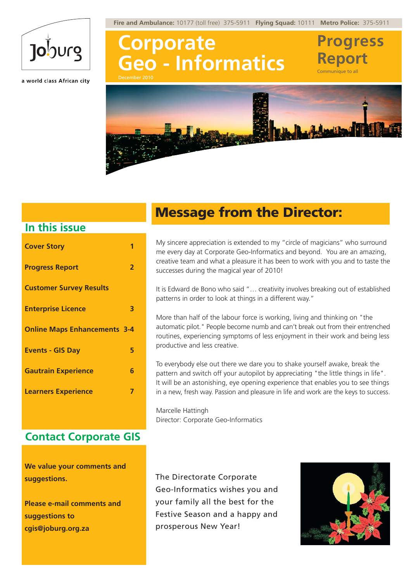**Fire and Ambulance:** 10177 (toll free) 375-5911 **Flying Squad:** 10111 **Metro Police:** 375-5911



a world class African city

**Corporate Geo - Informatics** December 2010





### **In this issue**

| <b>Cover Story</b>                  |   |
|-------------------------------------|---|
| <b>Progress Report</b>              | 2 |
| <b>Customer Survey Results</b>      |   |
| <b>Enterprise Licence</b>           | 3 |
| <b>Online Maps Enhancements 3-4</b> |   |
| <b>Events - GIS Day</b>             | 5 |
| <b>Gautrain Experience</b>          | 6 |
| <b>Learners Experience</b>          | 7 |
|                                     |   |

#### **Contact Corporate GIS**

**We value your comments and suggestions.**

**Please e-mail comments and suggestions to cgis@joburg.org.za**

## Message from the Director:

My sincere appreciation is extended to my "circle of magicians" who surround me every day at Corporate Geo-Informatics and beyond. You are an amazing, creative team and what a pleasure it has been to work with you and to taste the successes during the magical year of 2010!

It is Edward de Bono who said "… creativity involves breaking out of established patterns in order to look at things in a different way."

More than half of the labour force is working, living and thinking on "the automatic pilot." People become numb and can't break out from their entrenched routines, experiencing symptoms of less enjoyment in their work and being less productive and less creative.

To everybody else out there we dare you to shake yourself awake, break the pattern and switch off your autopilot by appreciating "the little things in life". It will be an astonishing, eye opening experience that enables you to see things in a new, fresh way. Passion and pleasure in life and work are the keys to success.

Marcelle Hattingh Director: Corporate Geo-Informatics

The Directorate Corporate Geo-Informatics wishes you and your family all the best for the Festive Season and a happy and prosperous New Year!



**Progress**

**Report** Communique to all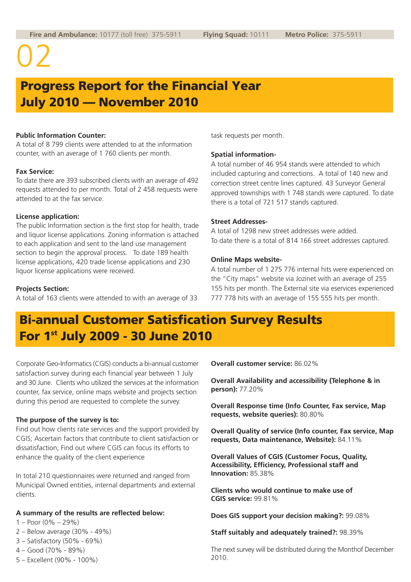## Progress Report for the Financial Year July 2010 — November 2010

#### **Public Information Counter:**

A total of 8 799 clients were attended to at the information counter, with an average of 1 760 clients per month.

#### **Fax Service:**

To date there are 393 subscribed clients with an average of 492 requests attended to per month. Total of 2 458 requests were attended to at the fax service.

#### **License application:**

The public Information section is the first stop for health, trade and liquor license applications. Zoning information is attached to each application and sent to the land use management section to begin the approval process. To date 189 health license applications, 420 trade license applications and 230 liquor license applications were received.

#### **Projects Section:**

A total of 163 clients were attended to with an average of 33

task requests per month.

#### **Spatial information-**

A total number of 46 954 stands were attended to which included capturing and corrections. A total of 140 new and correction street centre lines captured. 43 Surveyor General approved townships with 1 748 stands were captured. To date there is a total of 721 517 stands captured.

#### **Street Addresses-**

A total of 1298 new street addresses were added. To date there is a total of 814 166 street addresses captured.

#### **Online Maps website-**

A total number of 1 275 776 internal hits were experienced on the "City maps" website via Jozinet with an average of 255 155 hits per month. The External site via eservices experienced 777 778 hits with an average of 155 555 hits per month.

## Bi-annual Customer Satisfication Survey Results For 1st July 2009 - 30 June 2010

Corporate Geo-Informatics (CGIS) conducts a bi-annual customer satisfaction survey during each financial year between 1 July and 30 June. Clients who utilized the services at the information counter, fax service, online maps website and projects section during this period are requested to complete the survey.

#### **The purpose of the survey is to:**

Find out how clients rate services and the support provided by CGIS; Ascertain factors that contribute to client satisfaction or dissatisfaction; Find out where CGIS can focus its efforts to enhance the quality of the client experience

In total 210 questionnaires were returned and ranged from Municipal Owned entities, internal departments and external clients.

#### **A summary of the results are reflected below:**

- $1 -$  Poor  $(0\% 29\%)$
- 2 Below average (30% 49%)
- 3 Satisfactory (50% 69%)
- 4 Good (70% 89%)
- 5 Excellent (90% 100%)

**Overall customer service:** 86.02%

**Overall Availability and accessibility (Telephone & in person):** 77.20%

**Overall Response time (Info Counter, Fax service, Map requests, website queries):** 80.80%

**Overall Quality of service (Info counter, Fax service, Map requests, Data maintenance, Website):** 84.11%

**Overall Values of CGIS (Customer Focus, Quality, Accessibility, Efficiency, Professional staff and Innovation:** 85.38%

**Clients who would continue to make use of CGIS service:** 99.81%

**Does GIS support your decision making?:** 99.08%

**Staff suitably and adequately trained?:** 98.39%

The next survey will be distributed during the Monthof December 2010.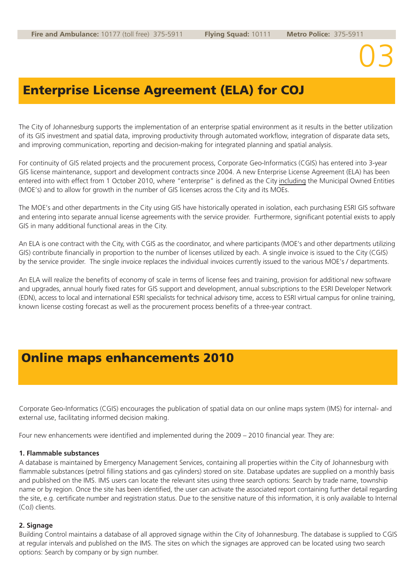## Enterprise License Agreement (ELA) for COJ

The City of Johannesburg supports the implementation of an enterprise spatial environment as it results in the better utilization of its GIS investment and spatial data, improving productivity through automated workflow, integration of disparate data sets, and improving communication, reporting and decision-making for integrated planning and spatial analysis.

For continuity of GIS related projects and the procurement process, Corporate Geo-Informatics (CGIS) has entered into 3-year GIS license maintenance, support and development contracts since 2004. A new Enterprise License Agreement (ELA) has been entered into with effect from 1 October 2010, where "enterprise" is defined as the City including the Municipal Owned Entities (MOE's) and to allow for growth in the number of GIS licenses across the City and its MOEs.

The MOE's and other departments in the City using GIS have historically operated in isolation, each purchasing ESRI GIS software and entering into separate annual license agreements with the service provider. Furthermore, significant potential exists to apply GIS in many additional functional areas in the City.

An ELA is one contract with the City, with CGIS as the coordinator, and where participants (MOE's and other departments utilizing GIS) contribute financially in proportion to the number of licenses utilized by each. A single invoice is issued to the City (CGIS) by the service provider. The single invoice replaces the individual invoices currently issued to the various MOE's / departments.

An ELA will realize the benefits of economy of scale in terms of license fees and training, provision for additional new software and upgrades, annual hourly fixed rates for GIS support and development, annual subscriptions to the ESRI Developer Network (EDN), access to local and international ESRI specialists for technical advisory time, access to ESRI virtual campus for online training, known license costing forecast as well as the procurement process benefits of a three-year contract.

### Online maps enhancements 2010

Corporate Geo-Informatics (CGIS) encourages the publication of spatial data on our online maps system (IMS) for internal- and external use, facilitating informed decision making.

Four new enhancements were identified and implemented during the 2009 – 2010 financial year. They are:

#### **1. Flammable substances**

A database is maintained by Emergency Management Services, containing all properties within the City of Johannesburg with flammable substances (petrol filling stations and gas cylinders) stored on site. Database updates are supplied on a monthly basis and published on the IMS. IMS users can locate the relevant sites using three search options: Search by trade name, township name or by region. Once the site has been identified, the user can activate the associated report containing further detail regarding the site, e.g. certificate number and registration status. Due to the sensitive nature of this information, it is only available to Internal (CoJ) clients.

#### **2. Signage**

Building Control maintains a database of all approved signage within the City of Johannesburg. The database is supplied to CGIS at regular intervals and published on the IMS. The sites on which the signages are approved can be located using two search options: Search by company or by sign number.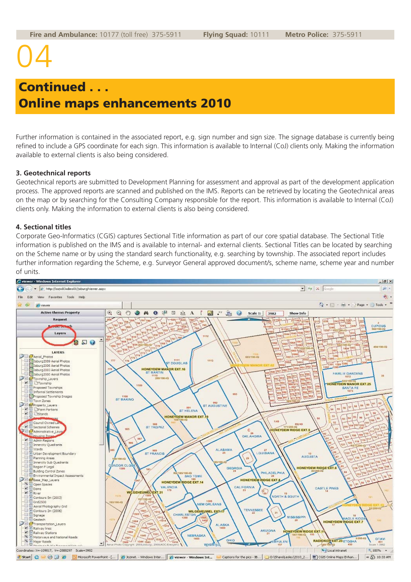## Continued . . . Online maps enhancements 2010

Further information is contained in the associated report, e.g. sign number and sign size. The signage database is currently being refined to include a GPS coordinate for each sign. This information is available to Internal (CoJ) clients only. Making the information available to external clients is also being considered.

#### **3. Geotechnical reports**

Geotechnical reports are submitted to Development Planning for assessment and approval as part of the development application process. The approved reports are scanned and published on the IMS. Reports can be retrieved by locating the Geotechnical areas on the map or by searching for the Consulting Company responsible for the report. This information is available to Internal (CoJ) clients only. Making the information to external clients is also being considered.

#### **4. Sectional titles**

Corporate Geo-Informatics (CGIS) captures Sectional Title information as part of our core spatial database. The Sectional Title information is published on the IMS and is available to internal- and external clients. Sectional Titles can be located by searching on the Scheme name or by using the standard search functionality, e.g. searching by township. The associated report includes further information regarding the Scheme, e.g. Surveyor General approved document/s, scheme name, scheme year and number of units.

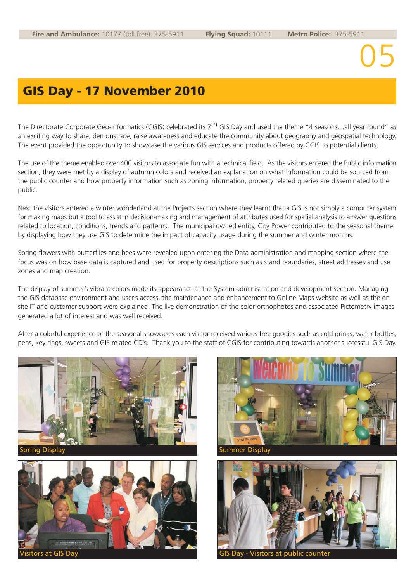## GIS Day - 17 November 2010

The Directorate Corporate Geo-Informatics (CGIS) celebrated its 7<sup>th</sup> GIS Day and used the theme "4 seasons...all year round" as an exciting way to share, demonstrate, raise awareness and educate the community about geography and geospatial technology. The event provided the opportunity to showcase the various GIS services and products offered by CGIS to potential clients.

The use of the theme enabled over 400 visitors to associate fun with a technical field. As the visitors entered the Public information section, they were met by a display of autumn colors and received an explanation on what information could be sourced from the public counter and how property information such as zoning information, property related queries are disseminated to the public.

Next the visitors entered a winter wonderland at the Projects section where they learnt that a GIS is not simply a computer system for making maps but a tool to assist in decision-making and management of attributes used for spatial analysis to answer questions related to location, conditions, trends and patterns. The municipal owned entity, City Power contributed to the seasonal theme by displaying how they use GIS to determine the impact of capacity usage during the summer and winter months.

Spring flowers with butterflies and bees were revealed upon entering the Data administration and mapping section where the focus was on how base data is captured and used for property descriptions such as stand boundaries, street addresses and use zones and map creation.

The display of summer's vibrant colors made its appearance at the System administration and development section. Managing the GIS database environment and user's access, the maintenance and enhancement to Online Maps website as well as the on site IT and customer support were explained. The live demonstration of the color orthophotos and associated Pictometry images generated a lot of interest and was well received.

After a colorful experience of the seasonal showcases each visitor received various free goodies such as cold drinks, water bottles, pens, key rings, sweets and GIS related CD's. Thank you to the staff of CGIS for contributing towards another successful GIS Day.







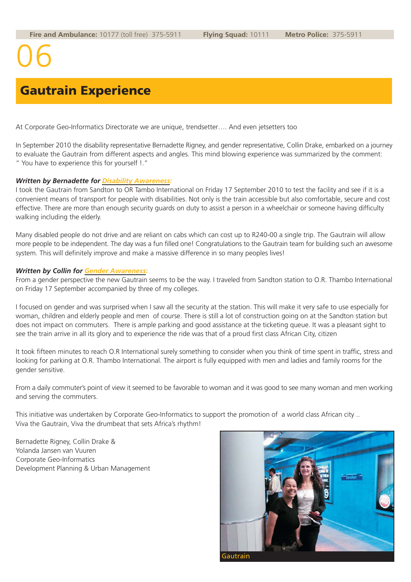## Gautrain Experience

At Corporate Geo-Informatics Directorate we are unique, trendsetter…. And even jetsetters too

In September 2010 the disability representative Bernadette Rigney, and gender representative, Collin Drake, embarked on a journey to evaluate the Gautrain from different aspects and angles. This mind blowing experience was summarized by the comment: " You have to experience this for yourself !."

#### *Written by Bernadette for Disability Awareness:*

I took the Gautrain from Sandton to OR Tambo International on Friday 17 September 2010 to test the facility and see if it is a convenient means of transport for people with disabilities. Not only is the train accessible but also comfortable, secure and cost effective. There are more than enough security guards on duty to assist a person in a wheelchair or someone having difficulty walking including the elderly.

Many disabled people do not drive and are reliant on cabs which can cost up to R240-00 a single trip. The Gautrain will allow more people to be independent. The day was a fun filled one! Congratulations to the Gautrain team for building such an awesome system. This will definitely improve and make a massive difference in so many peoples lives!

#### *Written by Collin for Gender Awareness:*

From a gender perspective the new Gautrain seems to be the way. I traveled from Sandton station to O.R. Thambo International on Friday 17 September accompanied by three of my colleges.

I focused on gender and was surprised when I saw all the security at the station. This will make it very safe to use especially for woman, children and elderly people and men of course. There is still a lot of construction going on at the Sandton station but does not impact on commuters. There is ample parking and good assistance at the ticketing queue. It was a pleasant sight to see the train arrive in all its glory and to experience the ride was that of a proud first class African City, citizen

It took fifteen minutes to reach O.R International surely something to consider when you think of time spent in traffic, stress and looking for parking at O.R. Thambo International. The airport is fully equipped with men and ladies and family rooms for the gender sensitive.

From a daily commuter's point of view it seemed to be favorable to woman and it was good to see many woman and men working and serving the commuters.

This initiative was undertaken by Corporate Geo-Informatics to support the promotion of a world class African city .. Viva the Gautrain, Viva the drumbeat that sets Africa's rhythm!

Bernadette Rigney, Collin Drake & Yolanda Jansen van Vuuren Corporate Geo-Informatics Development Planning & Urban Management

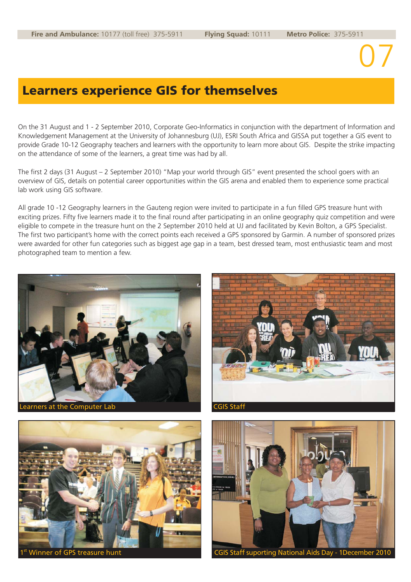### Learners experience GIS for themselves

On the 31 August and 1 - 2 September 2010, Corporate Geo-Informatics in conjunction with the department of Information and Knowledgement Management at the University of Johannesburg (UJ), ESRI South Africa and GISSA put together a GIS event to provide Grade 10-12 Geography teachers and learners with the opportunity to learn more about GIS. Despite the strike impacting on the attendance of some of the learners, a great time was had by all.

The first 2 days (31 August – 2 September 2010) "Map your world through GIS" event presented the school goers with an overview of GIS, details on potential career opportunities within the GIS arena and enabled them to experience some practical lab work using GIS software.

All grade 10 -12 Geography learners in the Gauteng region were invited to participate in a fun filled GPS treasure hunt with exciting prizes. Fifty five learners made it to the final round after participating in an online geography quiz competition and were eligible to compete in the treasure hunt on the 2 September 2010 held at UJ and facilitated by Kevin Bolton, a GPS Specialist. The first two participant's home with the correct points each received a GPS sponsored by Garmin. A number of sponsored prizes were awarded for other fun categories such as biggest age gap in a team, best dressed team, most enthusiastic team and most photographed team to mention a few.